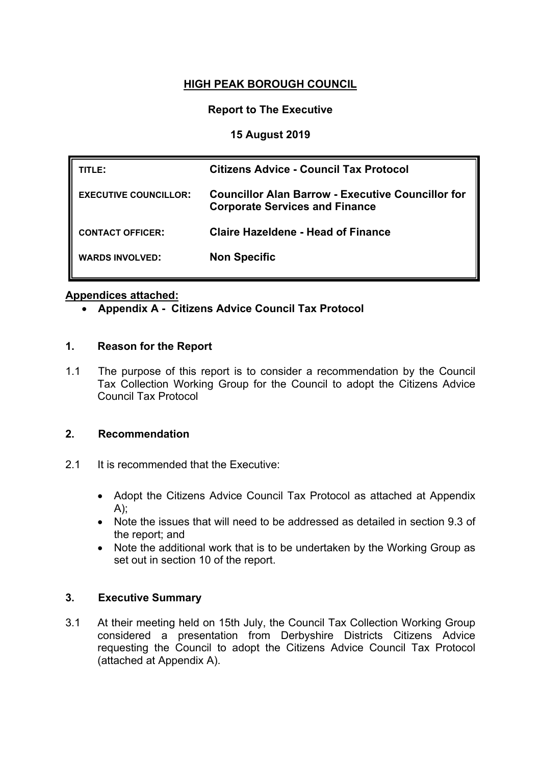# **HIGH PEAK BOROUGH COUNCIL**

### **Report to The Executive**

## **15 August 2019**

| TITLE:                       | <b>Citizens Advice - Council Tax Protocol</b>                                                     |
|------------------------------|---------------------------------------------------------------------------------------------------|
| <b>EXECUTIVE COUNCILLOR:</b> | <b>Councillor Alan Barrow - Executive Councillor for</b><br><b>Corporate Services and Finance</b> |
| <b>CONTACT OFFICER:</b>      | Claire Hazeldene - Head of Finance                                                                |
| <b>WARDS INVOLVED:</b>       | <b>Non Specific</b>                                                                               |

#### **Appendices attached:**

**Appendix A - Citizens Advice Council Tax Protocol**

#### **1. Reason for the Report**

1.1 The purpose of this report is to consider a recommendation by the Council Tax Collection Working Group for the Council to adopt the Citizens Advice Council Tax Protocol

# **2. Recommendation**

- 2.1 It is recommended that the Executive:
	- Adopt the Citizens Advice Council Tax Protocol as attached at Appendix  $A$ :
	- Note the issues that will need to be addressed as detailed in section 9.3 of the report; and
	- Note the additional work that is to be undertaken by the Working Group as set out in section 10 of the report.

#### **3. Executive Summary**

3.1 At their meeting held on 15th July, the Council Tax Collection Working Group considered a presentation from Derbyshire Districts Citizens Advice requesting the Council to adopt the Citizens Advice Council Tax Protocol (attached at Appendix A).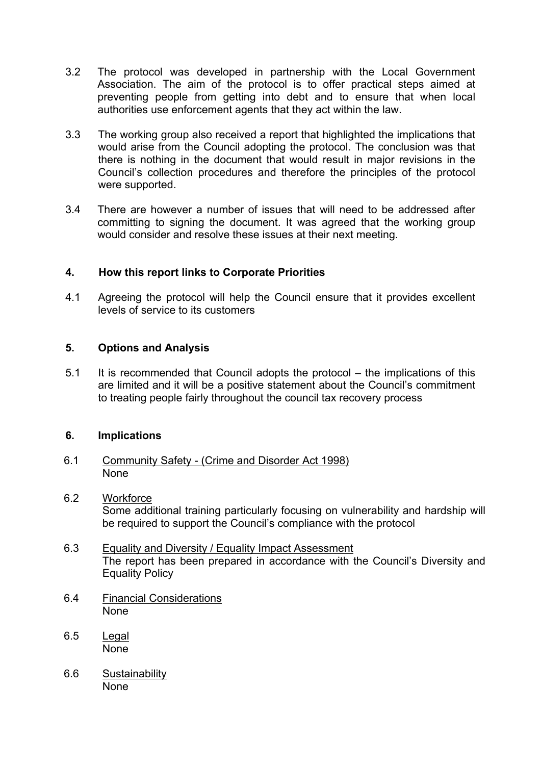- 3.2 The protocol was developed in partnership with the Local Government Association. The aim of the protocol is to offer practical steps aimed at preventing people from getting into debt and to ensure that when local authorities use enforcement agents that they act within the law.
- 3.3 The working group also received a report that highlighted the implications that would arise from the Council adopting the protocol. The conclusion was that there is nothing in the document that would result in major revisions in the Council's collection procedures and therefore the principles of the protocol were supported.
- 3.4 There are however a number of issues that will need to be addressed after committing to signing the document. It was agreed that the working group would consider and resolve these issues at their next meeting.

## **4. How this report links to Corporate Priorities**

4.1 Agreeing the protocol will help the Council ensure that it provides excellent levels of service to its customers

#### **5. Options and Analysis**

5.1 It is recommended that Council adopts the protocol – the implications of this are limited and it will be a positive statement about the Council's commitment to treating people fairly throughout the council tax recovery process

#### **6. Implications**

- 6.1 Community Safety (Crime and Disorder Act 1998) None
- 6.2 Workforce Some additional training particularly focusing on vulnerability and hardship will be required to support the Council's compliance with the protocol
- 6.3 Equality and Diversity / Equality Impact Assessment The report has been prepared in accordance with the Council's Diversity and Equality Policy
- 6.4 Financial Considerations None
- 6.5 Legal None
- 6.6 Sustainability **None**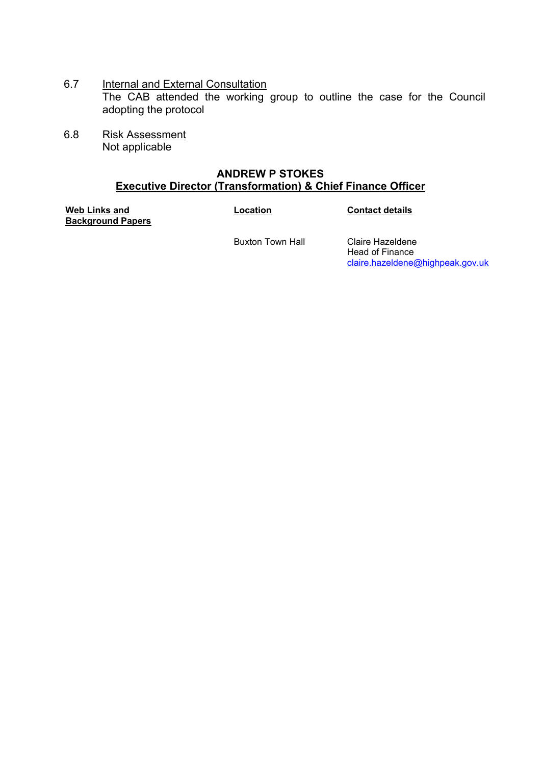- 6.7 Internal and External Consultation The CAB attended the working group to outline the case for the Council adopting the protocol
- 6.8 Risk Assessment Not applicable

#### **ANDREW P STOKES Executive Director (Transformation) & Chief Finance Officer**

**Web Links and Background Papers**

**Location Contact details**

Buxton Town Hall Claire Hazeldene

Head of Finance [claire.hazeldene@highpeak.gov.uk](mailto:claire.hazeldene@highpeak.gov.uk)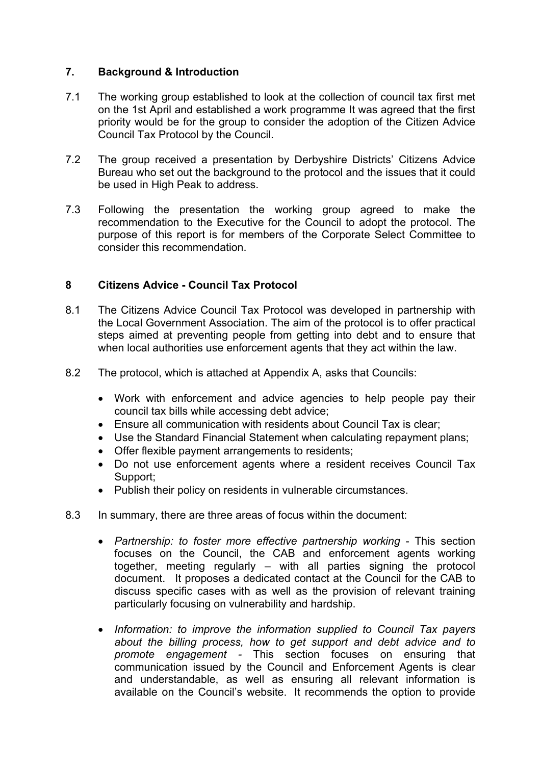### **7. Background & Introduction**

- 7.1 The working group established to look at the collection of council tax first met on the 1st April and established a work programme It was agreed that the first priority would be for the group to consider the adoption of the Citizen Advice Council Tax Protocol by the Council.
- 7.2 The group received a presentation by Derbyshire Districts' Citizens Advice Bureau who set out the background to the protocol and the issues that it could be used in High Peak to address.
- 7.3 Following the presentation the working group agreed to make the recommendation to the Executive for the Council to adopt the protocol. The purpose of this report is for members of the Corporate Select Committee to consider this recommendation.

## **8 Citizens Advice - Council Tax Protocol**

- 8.1 The Citizens Advice Council Tax Protocol was developed in partnership with the Local Government Association. The aim of the protocol is to offer practical steps aimed at preventing people from getting into debt and to ensure that when local authorities use enforcement agents that they act within the law.
- 8.2 The protocol, which is attached at Appendix A, asks that Councils:
	- Work with enforcement and advice agencies to help people pay their council tax bills while accessing debt advice;
	- Ensure all communication with residents about Council Tax is clear;
	- Use the Standard Financial Statement when calculating repayment plans;
	- Offer flexible payment arrangements to residents;
	- Do not use enforcement agents where a resident receives Council Tax Support;
	- Publish their policy on residents in vulnerable circumstances.
- 8.3 In summary, there are three areas of focus within the document:
	- *Partnership: to foster more effective partnership working* This section focuses on the Council, the CAB and enforcement agents working together, meeting regularly – with all parties signing the protocol document. It proposes a dedicated contact at the Council for the CAB to discuss specific cases with as well as the provision of relevant training particularly focusing on vulnerability and hardship.
	- *Information: to improve the information supplied to Council Tax payers about the billing process, how to get support and debt advice and to promote engagement -* This section focuses on ensuring that communication issued by the Council and Enforcement Agents is clear and understandable, as well as ensuring all relevant information is available on the Council's website. It recommends the option to provide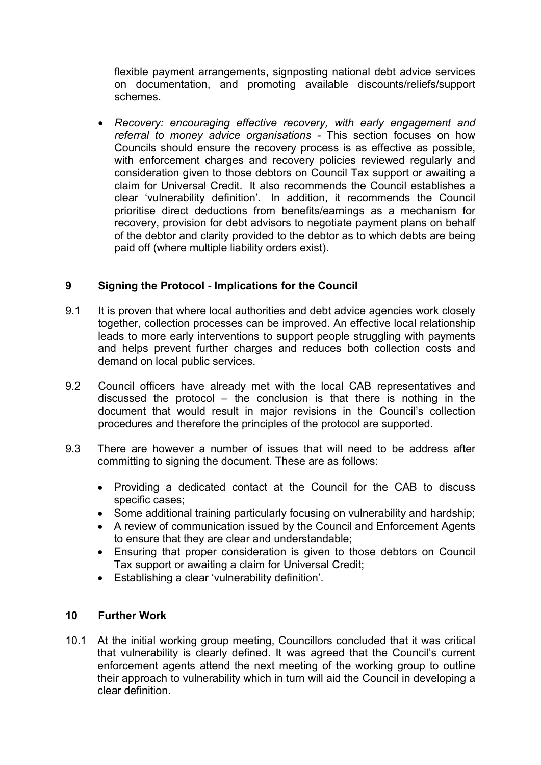flexible payment arrangements, signposting national debt advice services on documentation, and promoting available discounts/reliefs/support schemes.

 *Recovery: encouraging effective recovery, with early engagement and referral to money advice organisations -* This section focuses on how Councils should ensure the recovery process is as effective as possible, with enforcement charges and recovery policies reviewed regularly and consideration given to those debtors on Council Tax support or awaiting a claim for Universal Credit. It also recommends the Council establishes a clear 'vulnerability definition'. In addition, it recommends the Council prioritise direct deductions from benefits/earnings as a mechanism for recovery, provision for debt advisors to negotiate payment plans on behalf of the debtor and clarity provided to the debtor as to which debts are being paid off (where multiple liability orders exist).

# **9 Signing the Protocol - Implications for the Council**

- 9.1 It is proven that where local authorities and debt advice agencies work closely together, collection processes can be improved. An effective local relationship leads to more early interventions to support people struggling with payments and helps prevent further charges and reduces both collection costs and demand on local public services.
- 9.2 Council officers have already met with the local CAB representatives and discussed the protocol – the conclusion is that there is nothing in the document that would result in major revisions in the Council's collection procedures and therefore the principles of the protocol are supported.
- 9.3 There are however a number of issues that will need to be address after committing to signing the document. These are as follows:
	- Providing a dedicated contact at the Council for the CAB to discuss specific cases;
	- Some additional training particularly focusing on vulnerability and hardship;
	- A review of communication issued by the Council and Enforcement Agents to ensure that they are clear and understandable;
	- Ensuring that proper consideration is given to those debtors on Council Tax support or awaiting a claim for Universal Credit;
	- Establishing a clear 'vulnerability definition'.

#### **10 Further Work**

10.1 At the initial working group meeting, Councillors concluded that it was critical that vulnerability is clearly defined. It was agreed that the Council's current enforcement agents attend the next meeting of the working group to outline their approach to vulnerability which in turn will aid the Council in developing a clear definition.